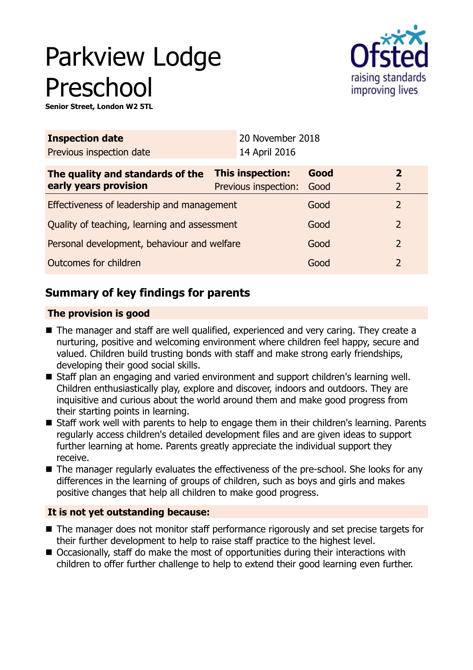# Parkview Lodge Preschool



**Senior Street, London W2 5TL**

| <b>Inspection date</b>                                    | 20 November 2018                         |              |                                  |
|-----------------------------------------------------------|------------------------------------------|--------------|----------------------------------|
| Previous inspection date                                  | 14 April 2016                            |              |                                  |
| The quality and standards of the<br>early years provision | This inspection:<br>Previous inspection: | Good<br>Good | $\overline{2}$<br>$\overline{2}$ |
| Effectiveness of leadership and management                |                                          | Good         | 2                                |
| Quality of teaching, learning and assessment              |                                          | Good         | 2                                |
| Personal development, behaviour and welfare               |                                          | Good         | $\overline{2}$                   |
| Outcomes for children                                     |                                          | Good         | 2                                |

## **Summary of key findings for parents**

## **The provision is good**

- The manager and staff are well qualified, experienced and very caring. They create a nurturing, positive and welcoming environment where children feel happy, secure and valued. Children build trusting bonds with staff and make strong early friendships, developing their good social skills.
- Staff plan an engaging and varied environment and support children's learning well. Children enthusiastically play, explore and discover, indoors and outdoors. They are inquisitive and curious about the world around them and make good progress from their starting points in learning.
- Staff work well with parents to help to engage them in their children's learning. Parents regularly access children's detailed development files and are given ideas to support further learning at home. Parents greatly appreciate the individual support they receive.
- The manager regularly evaluates the effectiveness of the pre-school. She looks for any differences in the learning of groups of children, such as boys and girls and makes positive changes that help all children to make good progress.

## **It is not yet outstanding because:**

- The manager does not monitor staff performance rigorously and set precise targets for their further development to help to raise staff practice to the highest level.
- Occasionally, staff do make the most of opportunities during their interactions with children to offer further challenge to help to extend their good learning even further.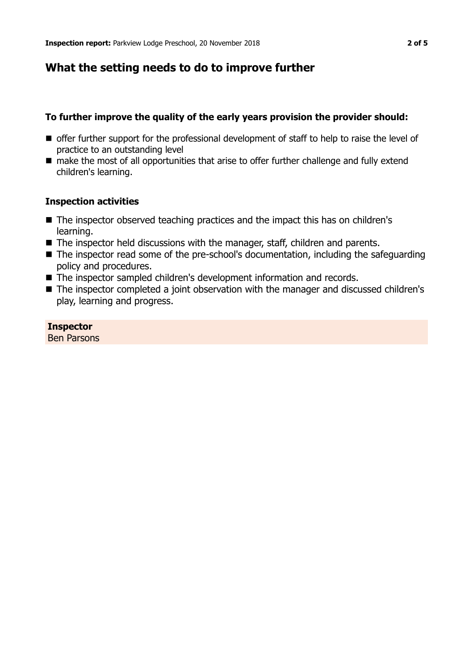## **What the setting needs to do to improve further**

#### **To further improve the quality of the early years provision the provider should:**

- **n** offer further support for the professional development of staff to help to raise the level of practice to an outstanding level
- make the most of all opportunities that arise to offer further challenge and fully extend children's learning.

#### **Inspection activities**

- $\blacksquare$  The inspector observed teaching practices and the impact this has on children's learning.
- $\blacksquare$  The inspector held discussions with the manager, staff, children and parents.
- The inspector read some of the pre-school's documentation, including the safeguarding policy and procedures.
- The inspector sampled children's development information and records.
- The inspector completed a joint observation with the manager and discussed children's play, learning and progress.

**Inspector** Ben Parsons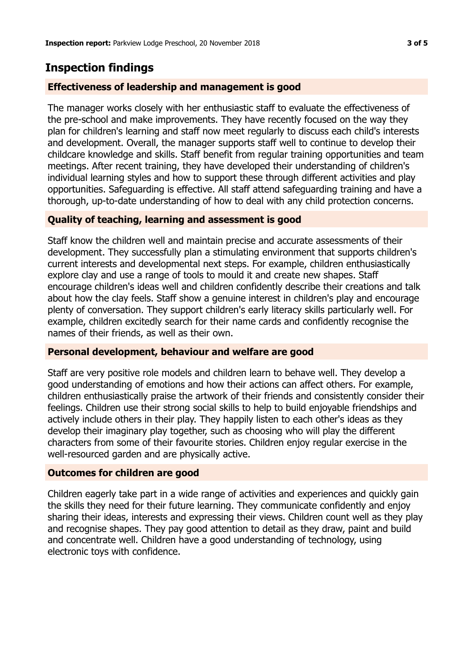## **Inspection findings**

## **Effectiveness of leadership and management is good**

The manager works closely with her enthusiastic staff to evaluate the effectiveness of the pre-school and make improvements. They have recently focused on the way they plan for children's learning and staff now meet regularly to discuss each child's interests and development. Overall, the manager supports staff well to continue to develop their childcare knowledge and skills. Staff benefit from regular training opportunities and team meetings. After recent training, they have developed their understanding of children's individual learning styles and how to support these through different activities and play opportunities. Safeguarding is effective. All staff attend safeguarding training and have a thorough, up-to-date understanding of how to deal with any child protection concerns.

## **Quality of teaching, learning and assessment is good**

Staff know the children well and maintain precise and accurate assessments of their development. They successfully plan a stimulating environment that supports children's current interests and developmental next steps. For example, children enthusiastically explore clay and use a range of tools to mould it and create new shapes. Staff encourage children's ideas well and children confidently describe their creations and talk about how the clay feels. Staff show a genuine interest in children's play and encourage plenty of conversation. They support children's early literacy skills particularly well. For example, children excitedly search for their name cards and confidently recognise the names of their friends, as well as their own.

## **Personal development, behaviour and welfare are good**

Staff are very positive role models and children learn to behave well. They develop a good understanding of emotions and how their actions can affect others. For example, children enthusiastically praise the artwork of their friends and consistently consider their feelings. Children use their strong social skills to help to build enjoyable friendships and actively include others in their play. They happily listen to each other's ideas as they develop their imaginary play together, such as choosing who will play the different characters from some of their favourite stories. Children enjoy regular exercise in the well-resourced garden and are physically active.

## **Outcomes for children are good**

Children eagerly take part in a wide range of activities and experiences and quickly gain the skills they need for their future learning. They communicate confidently and enjoy sharing their ideas, interests and expressing their views. Children count well as they play and recognise shapes. They pay good attention to detail as they draw, paint and build and concentrate well. Children have a good understanding of technology, using electronic toys with confidence.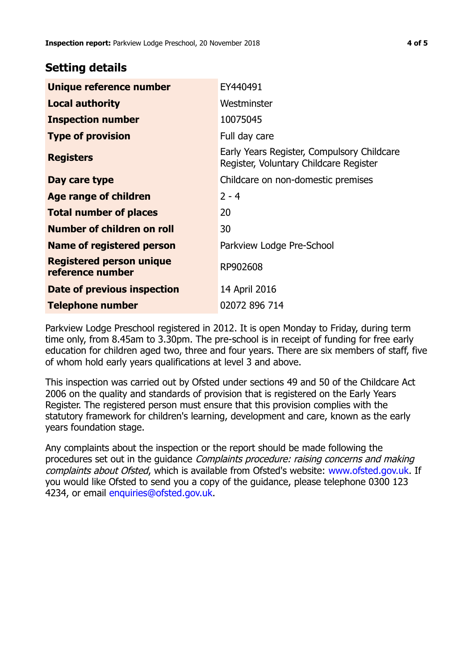## **Setting details**

| Unique reference number                             | EY440491                                                                             |
|-----------------------------------------------------|--------------------------------------------------------------------------------------|
| <b>Local authority</b>                              | Westminster                                                                          |
| <b>Inspection number</b>                            | 10075045                                                                             |
| <b>Type of provision</b>                            | Full day care                                                                        |
| <b>Registers</b>                                    | Early Years Register, Compulsory Childcare<br>Register, Voluntary Childcare Register |
| Day care type                                       | Childcare on non-domestic premises                                                   |
| Age range of children                               | $2 - 4$                                                                              |
| <b>Total number of places</b>                       | 20                                                                                   |
| Number of children on roll                          | 30                                                                                   |
| Name of registered person                           | Parkview Lodge Pre-School                                                            |
| <b>Registered person unique</b><br>reference number | RP902608                                                                             |
| <b>Date of previous inspection</b>                  | 14 April 2016                                                                        |
| Telephone number                                    | 02072 896 714                                                                        |

Parkview Lodge Preschool registered in 2012. It is open Monday to Friday, during term time only, from 8.45am to 3.30pm. The pre-school is in receipt of funding for free early education for children aged two, three and four years. There are six members of staff, five of whom hold early years qualifications at level 3 and above.

This inspection was carried out by Ofsted under sections 49 and 50 of the Childcare Act 2006 on the quality and standards of provision that is registered on the Early Years Register. The registered person must ensure that this provision complies with the statutory framework for children's learning, development and care, known as the early years foundation stage.

Any complaints about the inspection or the report should be made following the procedures set out in the guidance Complaints procedure: raising concerns and making complaints about Ofsted, which is available from Ofsted's website: www.ofsted.gov.uk. If you would like Ofsted to send you a copy of the guidance, please telephone 0300 123 4234, or email [enquiries@ofsted.gov.uk.](mailto:enquiries@ofsted.gov.uk)